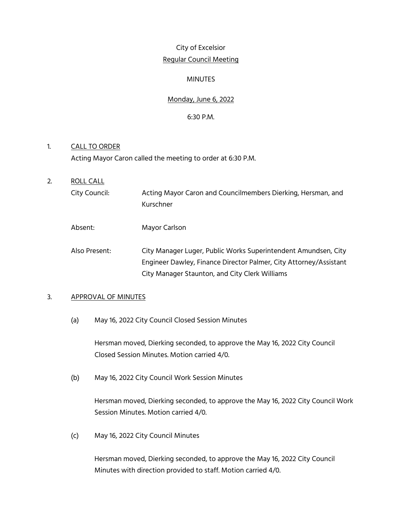## City of Excelsior Regular Council Meeting

## **MINUTES**

## Monday, June 6, 2022

## 6:30 P.M.

# 1. CALL TO ORDER Acting Mayor Caron called the meeting to order at 6:30 P.M.

- 2. ROLL CALL City Council: Acting Mayor Caron and Councilmembers Dierking, Hersman, and Kurschner
	- Absent: Mayor Carlson
	- Also Present: City Manager Luger, Public Works Superintendent Amundsen, City Engineer Dawley, Finance Director Palmer, City Attorney/Assistant City Manager Staunton, and City Clerk Williams

## 3. APPROVAL OF MINUTES

(a) May 16, 2022 City Council Closed Session Minutes

Hersman moved, Dierking seconded, to approve the May 16, 2022 City Council Closed Session Minutes. Motion carried 4/0.

(b) May 16, 2022 City Council Work Session Minutes

Hersman moved, Dierking seconded, to approve the May 16, 2022 City Council Work Session Minutes. Motion carried 4/0.

(c) May 16, 2022 City Council Minutes

Hersman moved, Dierking seconded, to approve the May 16, 2022 City Council Minutes with direction provided to staff. Motion carried 4/0.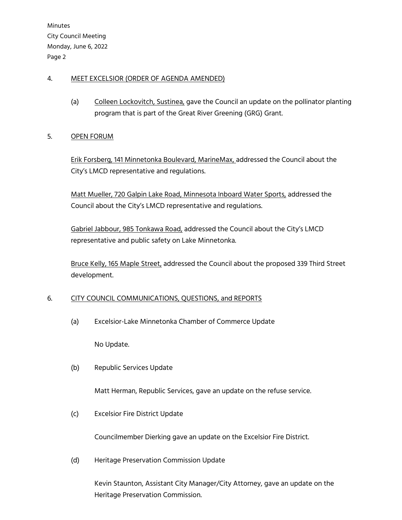## 4. MEET EXCELSIOR (ORDER OF AGENDA AMENDED)

(a) Colleen Lockovitch, Sustinea, gave the Council an update on the pollinator planting program that is part of the Great River Greening (GRG) Grant.

## 5. OPEN FORUM

Erik Forsberg, 141 Minnetonka Boulevard, MarineMax, addressed the Council about the City's LMCD representative and regulations.

Matt Mueller, 720 Galpin Lake Road, Minnesota Inboard Water Sports, addressed the Council about the City's LMCD representative and regulations.

Gabriel Jabbour, 985 Tonkawa Road, addressed the Council about the City's LMCD representative and public safety on Lake Minnetonka.

Bruce Kelly, 165 Maple Street, addressed the Council about the proposed 339 Third Street development.

## 6. CITY COUNCIL COMMUNICATIONS, QUESTIONS, and REPORTS

(a) Excelsior-Lake Minnetonka Chamber of Commerce Update

No Update.

(b) Republic Services Update

Matt Herman, Republic Services, gave an update on the refuse service.

(c) Excelsior Fire District Update

Councilmember Dierking gave an update on the Excelsior Fire District.

(d) Heritage Preservation Commission Update

Kevin Staunton, Assistant City Manager/City Attorney, gave an update on the Heritage Preservation Commission.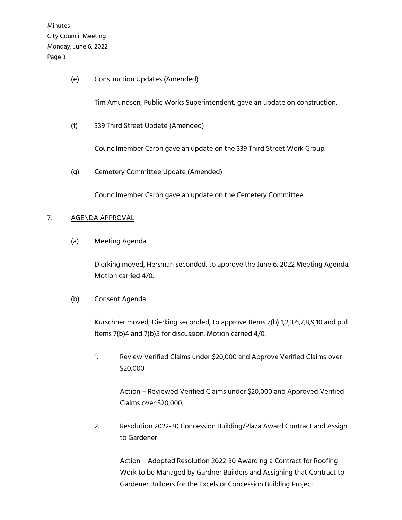(e) Construction Updates (Amended)

Tim Amundsen, Public Works Superintendent, gave an update on construction.

(f) 339 Third Street Update (Amended)

Councilmember Caron gave an update on the 339 Third Street Work Group.

(g) Cemetery Committee Update (Amended)

Councilmember Caron gave an update on the Cemetery Committee.

#### 7. AGENDA APPROVAL

(a) Meeting Agenda

Dierking moved, Hersman seconded, to approve the June 6, 2022 Meeting Agenda. Motion carried 4/0.

(b) Consent Agenda

Kurschner moved, Dierking seconded, to approve Items 7(b) 1,2,3,6,7,8,9,10 and pull Items 7(b)4 and 7(b)5 for discussion. Motion carried 4/0.

1. Review Verified Claims under \$20,000 and Approve Verified Claims over \$20,000

> Action – Reviewed Verified Claims under \$20,000 and Approved Verified Claims over \$20,000.

2. Resolution 2022-30 Concession Building/Plaza Award Contract and Assign to Gardener

 Action – Adopted Resolution 2022-30 Awarding a Contract for Roofing Work to be Managed by Gardner Builders and Assigning that Contract to Gardener Builders for the Excelsior Concession Building Project.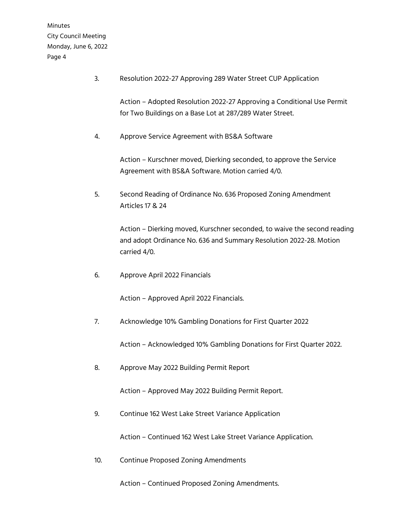3. Resolution 2022-27 Approving 289 Water Street CUP Application

Action – Adopted Resolution 2022-27 Approving a Conditional Use Permit for Two Buildings on a Base Lot at 287/289 Water Street.

4. Approve Service Agreement with BS&A Software

Action – Kurschner moved, Dierking seconded, to approve the Service Agreement with BS&A Software. Motion carried 4/0.

5. Second Reading of Ordinance No. 636 Proposed Zoning Amendment Articles 17 & 24

> Action – Dierking moved, Kurschner seconded, to waive the second reading and adopt Ordinance No. 636 and Summary Resolution 2022-28. Motion carried 4/0.

6. Approve April 2022 Financials

Action – Approved April 2022 Financials.

7. Acknowledge 10% Gambling Donations for First Quarter 2022

Action – Acknowledged 10% Gambling Donations for First Quarter 2022.

8. Approve May 2022 Building Permit Report

Action – Approved May 2022 Building Permit Report.

9. Continue 162 West Lake Street Variance Application

Action – Continued 162 West Lake Street Variance Application.

10. Continue Proposed Zoning Amendments

Action – Continued Proposed Zoning Amendments.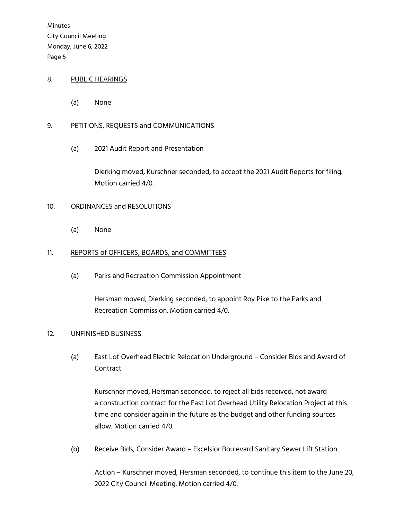## 8. PUBLIC HEARINGS

(a) None

#### 9. PETITIONS, REQUESTS and COMMUNICATIONS

(a) 2021 Audit Report and Presentation

Dierking moved, Kurschner seconded, to accept the 2021 Audit Reports for filing. Motion carried 4/0.

#### 10. ORDINANCES and RESOLUTIONS

(a) None

#### 11. REPORTS of OFFICERS, BOARDS, and COMMITTEES

(a) Parks and Recreation Commission Appointment

Hersman moved, Dierking seconded, to appoint Roy Pike to the Parks and Recreation Commission. Motion carried 4/0.

#### 12. UNFINISHED BUSINESS

(a) East Lot Overhead Electric Relocation Underground – Consider Bids and Award of Contract

 Kurschner moved, Hersman seconded, to reject all bids received, not award a construction contract for the East Lot Overhead Utility Relocation Project at this time and consider again in the future as the budget and other funding sources allow. Motion carried 4/0.

(b) Receive Bids, Consider Award – Excelsior Boulevard Sanitary Sewer Lift Station

Action – Kurschner moved, Hersman seconded, to continue this item to the June 20, 2022 City Council Meeting. Motion carried 4/0.